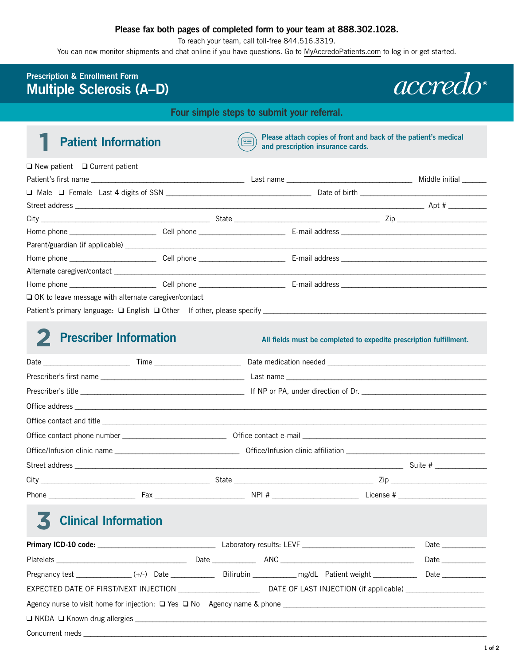### **Please fax both pages of completed form to your team at 888.302.1028.**

To reach your team, call toll-free 844.516.3319.

You can now monitor shipments and chat online if you have questions. Go to [MyAccredoPatients.com](https://prescribers.accredo.com/frontend/apw/login) to log in or get started.

## **Prescription & Enrollment Form Multiple Sclerosis (A–D)**

*accredo* 

**Four simple steps to submit your referral.** 

**Patient Information Please attach copies of front and back of the patient's medical and prescription insurance cards and prescription insurance cards.** 

| $\Box$ New patient $\Box$ Current patient                   |  |                       |
|-------------------------------------------------------------|--|-----------------------|
|                                                             |  | Middle initial ______ |
|                                                             |  |                       |
|                                                             |  |                       |
|                                                             |  | $\overline{z}$ Zip    |
|                                                             |  |                       |
|                                                             |  |                       |
|                                                             |  |                       |
|                                                             |  |                       |
|                                                             |  |                       |
| $\Box$ OK to leave message with alternate caregiver/contact |  |                       |
|                                                             |  |                       |

## **2 Prescriber Information** *All fields must be completed to expedite prescription fulfillment.*

# 3 **Clinical Information**

|  |  |  |  |  | Date |                                                                                                                |
|--|--|--|--|--|------|----------------------------------------------------------------------------------------------------------------|
|  |  |  |  |  |      | Date and the set of the set of the set of the set of the set of the set of the set of the set of the set of th |
|  |  |  |  |  |      |                                                                                                                |
|  |  |  |  |  |      |                                                                                                                |
|  |  |  |  |  |      |                                                                                                                |
|  |  |  |  |  |      |                                                                                                                |
|  |  |  |  |  |      |                                                                                                                |